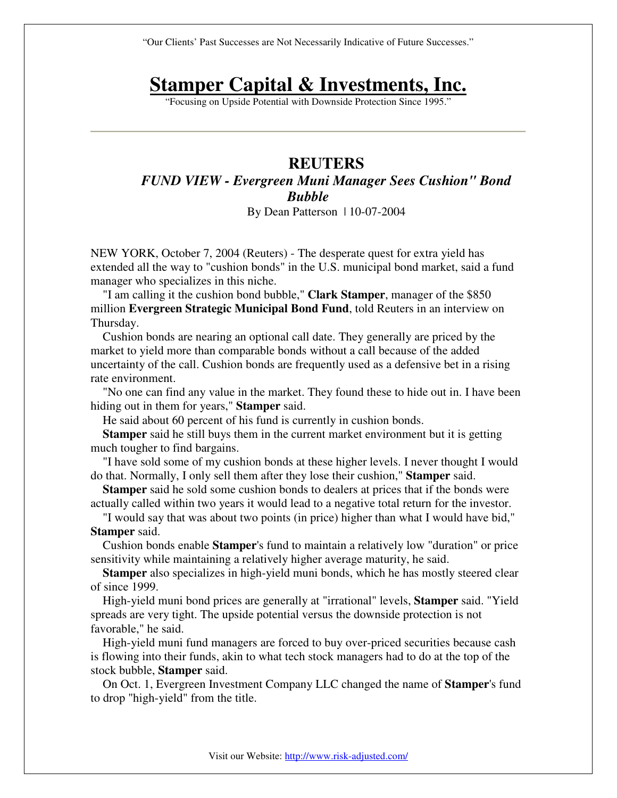"Our Clients' Past Successes are Not Necessarily Indicative of Future Successes."

## **Stamper Capital & Investments, Inc.**

"Focusing on Upside Potential with Downside Protection Since 1995."

## **REUTERS**  *FUND VIEW - Evergreen Muni Manager Sees Cushion" Bond Bubble*  By Dean Patterson | 10-07-2004

NEW YORK, October 7, 2004 (Reuters) - The desperate quest for extra yield has extended all the way to "cushion bonds" in the U.S. municipal bond market, said a fund manager who specializes in this niche.

 "I am calling it the cushion bond bubble," **Clark Stamper**, manager of the \$850 million **Evergreen Strategic Municipal Bond Fund**, told Reuters in an interview on Thursday.

 Cushion bonds are nearing an optional call date. They generally are priced by the market to yield more than comparable bonds without a call because of the added uncertainty of the call. Cushion bonds are frequently used as a defensive bet in a rising rate environment.

 "No one can find any value in the market. They found these to hide out in. I have been hiding out in them for years," **Stamper** said.

He said about 60 percent of his fund is currently in cushion bonds.

 **Stamper** said he still buys them in the current market environment but it is getting much tougher to find bargains.

 "I have sold some of my cushion bonds at these higher levels. I never thought I would do that. Normally, I only sell them after they lose their cushion," **Stamper** said.

 **Stamper** said he sold some cushion bonds to dealers at prices that if the bonds were actually called within two years it would lead to a negative total return for the investor.

 "I would say that was about two points (in price) higher than what I would have bid," **Stamper** said.

 Cushion bonds enable **Stamper**'s fund to maintain a relatively low "duration" or price sensitivity while maintaining a relatively higher average maturity, he said.

 **Stamper** also specializes in high-yield muni bonds, which he has mostly steered clear of since 1999.

 High-yield muni bond prices are generally at "irrational" levels, **Stamper** said. "Yield spreads are very tight. The upside potential versus the downside protection is not favorable," he said.

 High-yield muni fund managers are forced to buy over-priced securities because cash is flowing into their funds, akin to what tech stock managers had to do at the top of the stock bubble, **Stamper** said.

 On Oct. 1, Evergreen Investment Company LLC changed the name of **Stamper**'s fund to drop "high-yield" from the title.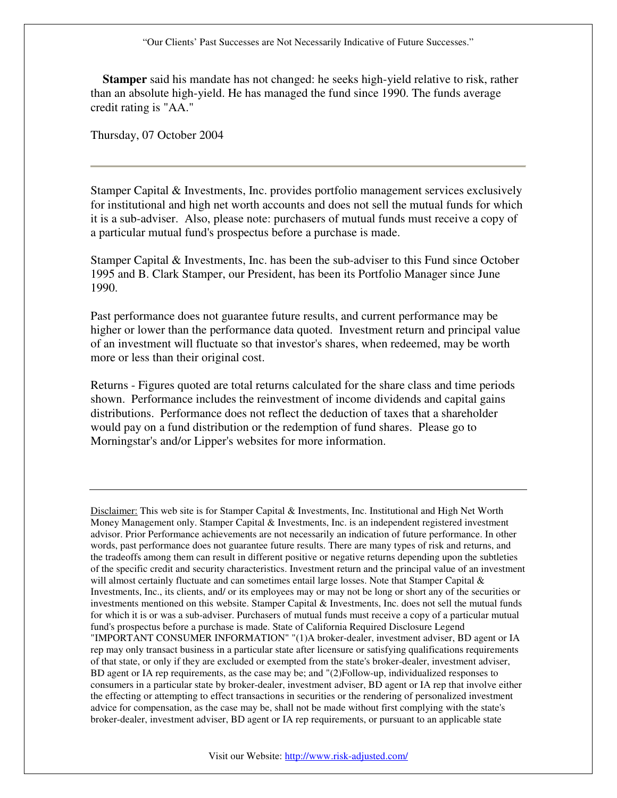"Our Clients' Past Successes are Not Necessarily Indicative of Future Successes."

 **Stamper** said his mandate has not changed: he seeks high-yield relative to risk, rather than an absolute high-yield. He has managed the fund since 1990. The funds average credit rating is "AA."

Thursday, 07 October 2004

Stamper Capital & Investments, Inc. provides portfolio management services exclusively for institutional and high net worth accounts and does not sell the mutual funds for which it is a sub-adviser. Also, please note: purchasers of mutual funds must receive a copy of a particular mutual fund's prospectus before a purchase is made.

Stamper Capital & Investments, Inc. has been the sub-adviser to this Fund since October 1995 and B. Clark Stamper, our President, has been its Portfolio Manager since June 1990.

Past performance does not guarantee future results, and current performance may be higher or lower than the performance data quoted. Investment return and principal value of an investment will fluctuate so that investor's shares, when redeemed, may be worth more or less than their original cost.

Returns - Figures quoted are total returns calculated for the share class and time periods shown. Performance includes the reinvestment of income dividends and capital gains distributions. Performance does not reflect the deduction of taxes that a shareholder would pay on a fund distribution or the redemption of fund shares. Please go to Morningstar's and/or Lipper's websites for more information.

Disclaimer: This web site is for Stamper Capital & Investments, Inc. Institutional and High Net Worth Money Management only. Stamper Capital & Investments, Inc. is an independent registered investment advisor. Prior Performance achievements are not necessarily an indication of future performance. In other words, past performance does not guarantee future results. There are many types of risk and returns, and the tradeoffs among them can result in different positive or negative returns depending upon the subtleties of the specific credit and security characteristics. Investment return and the principal value of an investment will almost certainly fluctuate and can sometimes entail large losses. Note that Stamper Capital  $\&$ Investments, Inc., its clients, and/ or its employees may or may not be long or short any of the securities or investments mentioned on this website. Stamper Capital & Investments, Inc. does not sell the mutual funds for which it is or was a sub-adviser. Purchasers of mutual funds must receive a copy of a particular mutual fund's prospectus before a purchase is made. State of California Required Disclosure Legend "IMPORTANT CONSUMER INFORMATION" "(1)A broker-dealer, investment adviser, BD agent or IA rep may only transact business in a particular state after licensure or satisfying qualifications requirements of that state, or only if they are excluded or exempted from the state's broker-dealer, investment adviser, BD agent or IA rep requirements, as the case may be; and "(2)Follow-up, individualized responses to consumers in a particular state by broker-dealer, investment adviser, BD agent or IA rep that involve either the effecting or attempting to effect transactions in securities or the rendering of personalized investment advice for compensation, as the case may be, shall not be made without first complying with the state's broker-dealer, investment adviser, BD agent or IA rep requirements, or pursuant to an applicable state